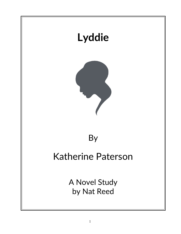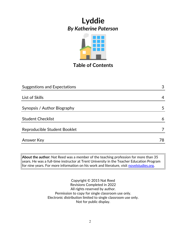

## **Table of Contents**

| <b>Suggestions and Expectations</b> | 3  |
|-------------------------------------|----|
|                                     |    |
| List of Skills                      | 4  |
|                                     |    |
| Synopsis / Author Biography         | 5  |
|                                     |    |
| <b>Student Checklist</b>            | 6  |
|                                     |    |
| Reproducible Student Booklet        |    |
|                                     |    |
| <b>Answer Key</b>                   | 78 |

**About the author:** Nat Reed was a member of the teaching profession for more than 35 years. He was a full-time instructor at Trent University in the Teacher Education Program for nine years. For more information on his work and literature, visit [novelstudies.org.](http://www.novelstudies.org/)

> Copyright © 2015 Nat Reed Revisions Completed in 2022 All rights reserved by author. Permission to copy for single classroom use only. Electronic distribution limited to single classroom use only. Not for public display.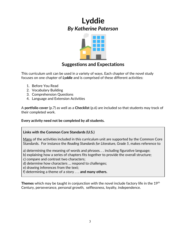

### **Suggestions and Expectations**

This curriculum unit can be used in a variety of ways. Each chapter of the novel study focuses on one chapter of *Lyddie* and is comprised of these different activities:

- 1. Before You Read
- 2. Vocabulary Building
- 3. Comprehension Questions
- 4. Language and Extension Activities

A **portfolio cover** (p.7) as well as a **Checklist** (p.6) are included so that students may track of their completed work.

**Every activity need not be completed by all students.** 

#### **Links with the Common Core Standards (U.S.)**

Many of the activities included in this curriculum unit are supported by the Common Core Standards. For instance the *Reading Standards for Literature, Grade 5*, makes reference to

a) determining the meaning of words and phrases. . . including figurative language;

b) explaining how a series of chapters fits together to provide the overall structure;

c) compare and contrast two characters;

d) determine how characters … respond to challenges;

e) drawing inferences from the text;

f) determining a theme of a story . . . **and many others.**

**Themes** which may be taught in conjunction with the novel include factory life in the 19<sup>th</sup> Century, perseverance, personal growth, selflessness, loyalty, independence.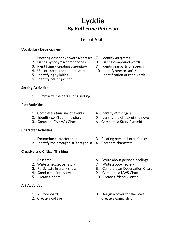## **List of Skills**

### **Vocabulary Development**

- 1. Locating descriptive words/phrases 7. Identify *anagrams*
- 2. Listing synonyms/homophones and B. Listing compound words
- 3. Identifying / creating *alliteration* 9. Identifying parts of speech
- 4. Use of capitals and punctuation 10. Identify/create *similes*
- 
- 6. Identify *personification*.

### **Setting Activities**

1. Summarize the details of a setting

### **Plot Activities**

- 1. Complete a *time line* of events 4. Identify *cliffhangers*
- 
- 

### **Character Activities**

- 
- 2. Identify the protagonist/antagonist 4. Compare characters

### **Creative and Critical Thinking**

- 
- 2. Write a newspaper story **7.** Write a book review
- 
- 
- 

### **Art Activities**

- 
- 
- 
- 
- 
- 
- 5. Identifying syllables 11. Identification of root words

- 
- 2. Identify conflict in the story 5. Identify the climax of the novel.
- 3. Complete Five W's Chart 6. Complete a Story Pyramid
- 1. Determine character traits 3. Relating personal experiences
	-
- 1. Research 6. Write about personal feelings
	-
- 3. Participate in a talk show 8. Complete an Observation Chart
- 4. Conduct an interview 9. Complete a KWS Chart
- 5. Create a poem 10. Create a friendly letter.
- 1. A Storyboard 3. Design a cover for the novel
- 2. Create a collage 4. Create a comic strip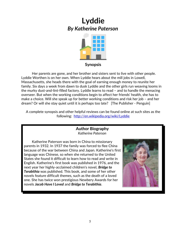

#### **Synopsis**

 Her parents are gone, and her brother and sisters sent to live with other people. Lyddie Worthen is on her own. When Lyddie hears about the mill jobs in Lowell, Massachusetts, she heads there with the goal of earning enough money to reunite her family. Six days a week from dawn to dusk Lyddie and the other girls run weaving looms in the murky dust-and-lint-filled factory. Lyddie learns to read – and to handle the menacing overseer. But when the working conditions begin to affect her friends' health, she has to make a choice. Will she speak up for better working conditions and risk her job – and her dream? Or will she stay quiet until it is perhaps too late? [The Publisher - Penguin]

A complete synopsis and other helpful reviews can be found online at such sites as the following: <http://en.wikipedia.org/wiki/Lyddie>

> **Author Biography** *Katherine Paterson*

Katherine Paterson was born in China to missionary parents in 1932. In 1937 the family was forced to flee China because of the war between China and Japan. Katherine's first language was Chinese, so when she returned to the United States she found it difficult to learn how to read and write in English. Katherine's first book was published in 1976, and the next year her highly-acclaimed children's novel, *Bridge to Terabithia* was published. This book, and some of her other novels feature difficult themes, such as the death of a loved one. She has twice won prestigious Newbery Awards for her novels *Jacob Have I Loved* and *Bridge to Terabithia*.

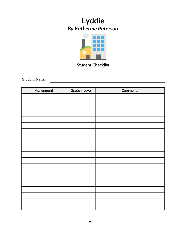

**Student Checklist**

Student Name

| Assignment | Grade / Level | Comments |
|------------|---------------|----------|
|            |               |          |
|            |               |          |
|            |               |          |
|            |               |          |
|            |               |          |
|            |               |          |
|            |               |          |
|            |               |          |
|            |               |          |
|            |               |          |
|            |               |          |
|            |               |          |
|            |               |          |
|            |               |          |
|            |               |          |
|            |               |          |
|            |               |          |
|            |               |          |
|            |               |          |
|            |               |          |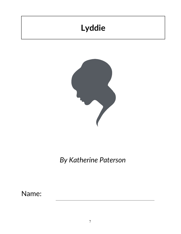# **Lyddie**



*By Katherine Paterson*

Name: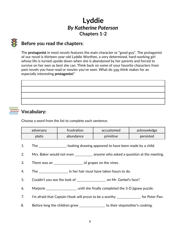## **Lyddie** *By Katherine Paterson* **Chapters 1-2**

## **Before you read the chapters**:

The **protagonist** in most novels features the main character or "good guy". The protagonist of our novel is thirteen-year-old Lyddie Worthen, a very determined, hard-working girl whose life is turned upside down when she is abandoned by her parents and forced to survive on her own as best she can. Think back on some of your favorite characters from past novels you have read or movies you've seen. What do you think makes for an especially interesting **protagonist**?

## **Vocabulary:**

Choose a word from the list to complete each sentence.

| adversary | frustration | accustomed | $\Box$ acknowledge |
|-----------|-------------|------------|--------------------|
| plaits    | abundance   | primitive  | persisted          |

- 1. The \_\_\_\_\_\_\_\_\_\_\_\_\_\_\_-looking drawing appeared to have been made by a child.
- 2. Mrs. Baker would not even \_\_\_\_\_\_\_\_\_\_ anyone who asked a question at the meeting.
- 3. There was an \_\_\_\_\_\_\_\_\_\_\_\_\_\_\_\_\_\_ of grapes on the vines.
- 4. The \_\_\_\_\_\_\_\_\_\_\_\_\_\_\_\_ in her hair must have taken hours to do.
- 5. Couldn't you see the look of \_\_\_\_\_\_\_\_\_\_\_\_\_\_\_\_\_\_ on Mr. Gerbel's face?
- 6. Marjorie \_\_\_\_\_\_\_\_\_\_\_\_\_\_\_\_\_\_\_ until she finally completed the 3-D jigsaw puzzle.
- 7. I'm afraid that Captain Hook will prove to be a worthy \_\_\_\_\_\_\_\_\_\_\_\_\_\_ for Peter Pan.
- 8. Before long the children grew \_\_\_\_\_\_\_\_\_\_\_\_\_\_ to their stepmother's cooking.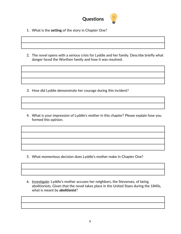

- 1. What is the **setting** of the story in Chapter One?
- 2. The novel opens with a serious crisis for Lyddie and her family. Describe briefly what danger faced the Worthen family and how it was resolved.

- 3. How did Lyddie demonstrate her courage during this incident?
- 4. What is your impression of Lyddie's mother in this chapter? Please explain how you formed this opinion.

- 5. What momentous decision does Lyddie's mother make in Chapter One?
- 6. Investigate: Lyddie's mother accuses her neighbors, the Stevenses, of being abolitionists. Given that the novel takes place in the United Staes during the 1840s, what is meant by *abolitionist*?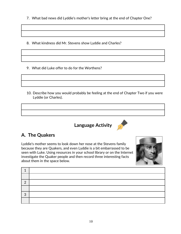7. What bad news did Lyddie's mother's letter bring at the end of Chapter One?

8. What kindness did Mr. Stevens show Lyddie and Charles?

- 9. What did Luke offer to do for the Worthens?
- 10. Describe how you would probably be feeling at the end of Chapter Two if you were Lyddie (or Charles).
	- **Language Activity**



## **A. The Quakers**

Lyddie's mother seems to look down her nose at the Stevens family because they are Quakers, and even Lyddie is a bit embarrassed to be seen with Luke. Using resources in your school library or on the Internet investigate the Quaker people and then record three interesting facts about them in the space below.



| ◠ |  |
|---|--|
|   |  |
| ◠ |  |
|   |  |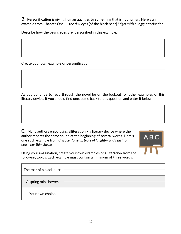**B. Personification** is giving human qualities to something that is not human. Here's an example from Chapter One: … t*he tiny eyes* [of the black bear] *bright with hungry anticipation.*

Describe how the bear's eyes are personified in this example.

Create your own example of personification.

As you continue to read through the novel be on the lookout for other examples of this literary device. If you should find one, come back to this question and enter it below.

**C***.* Many authors enjoy using **alliteration –** a literary device where the author **r**epeats the same sound at the beginning of several words. Here's one such example from Chapter One: *… tears of laughter and relief ran down her thin cheeks.*



Using your imagination, create your own examples of **alliteration** from the following topics. Each example must contain a minimum of three words.

| The roar of a black bear. |  |
|---------------------------|--|
| A spring rain shower.     |  |
| Your own choice.          |  |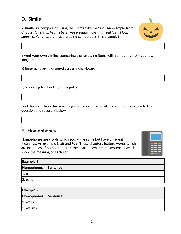## **D. Simile**

A **simile** is a comparison using the words "like" or "as". An example from Chapter One is, *… he [the bear] was wearing it over his head like a black pumpkin.* What two things are being compared in this example?



Invent your own **similes** comparing the following items with something from your own imagination:

a) fingernails being dragged across a chalkboard

b) a bowling ball landing in the gutter

Look for a **simile** in the remaining chapters of the novel. If you find one return to this question and record it below.

### **E. Homophones**

Homophones are words which sound the same but have different meanings. An example is *air* and *heir*. These chapters feature words which are examples of homophones. In the chart below, create sentences which show the meaning of each set.



| <b>Example 1</b>    |  |  |
|---------------------|--|--|
| Homophones Sentence |  |  |
| $ 1.$ pain          |  |  |
| $ 2.$ pane          |  |  |

| <b>Example 2</b>    |  |  |
|---------------------|--|--|
| Homophones Sentence |  |  |
| $ 1.$ ways          |  |  |
| 2. weighs           |  |  |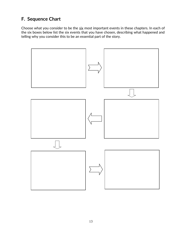## **F. Sequence Chart**

Choose what you consider to be the six most important events in these chapters. In each of the six boxes below list the six events that you have chosen, describing what happened and telling why you consider this to be an essential part of the story.